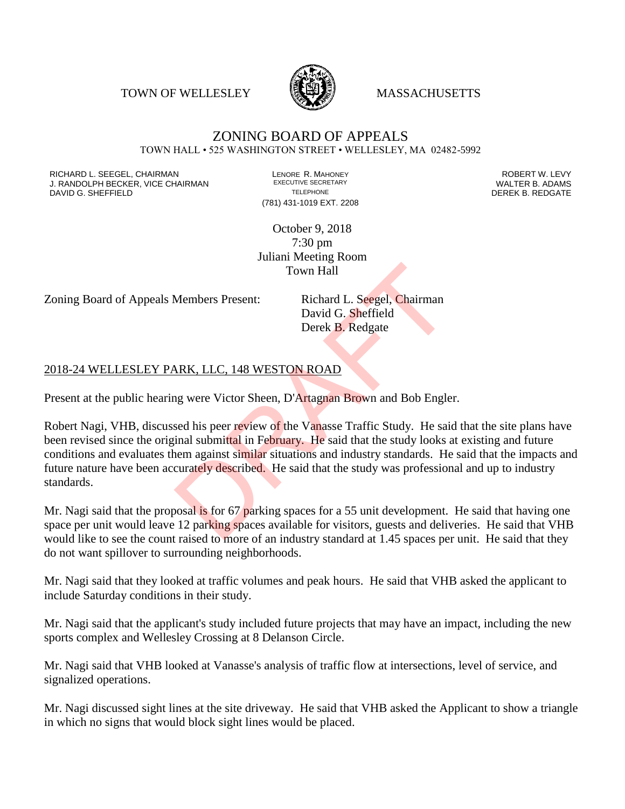TOWN OF WELLESLEY **WASSACHUSETTS** 



## ZONING BOARD OF APPEALS TOWN HALL • 525 WASHINGTON STREET • WELLESLEY, MA 02482-5992

RICHARD L. SEEGEL, CHAIRMAN LENORE R. MAHONEY ROBERT W. LEVY J. RANDOLPH BECKER, VICE CHAIRMAN EXECUTIVE SECRETARY OF TELEPHONE DAVID G. SHEFFIELD **TELEPHONE** TELEPHONE TELEPHONE **TELEPHONE DEREK B. REDGATE** 

(781) 431-1019 EXT. 2208

October 9, 2018 7:30 pm Juliani Meeting Room Town Hall

Zoning Board of Appeals Members Present: Richard L. Seegel, Chairman

David G. Sheffield Derek B. Redgate

## 2018-24 WELLESLEY PARK, LLC, 148 WESTON ROAD

Present at the public hearing were Victor Sheen, D'Artagnan Brown and Bob Engler.

Robert Nagi, VHB, discussed his peer review of the Vanasse Traffic Study. He said that the site plans have been revised since the original submittal in February. He said that the study looks at existing and future conditions and evaluates them against similar situations and industry standards. He said that the impacts and future nature have been accurately described. He said that the study was professional and up to industry standards. Town Hall<br>Members Present: Richard L. Seegel, Chairman<br>David G. Sheffield<br>Derek B. Redgate<br>NRK, LLC, 148 WESTON ROAD<br>ng were Victor Sheen, D'Artagnan Brown and Bob Engle<br>sed his peer review of the Vanasse Traffic Study. He

Mr. Nagi said that the proposal is for 67 parking spaces for a 55 unit development. He said that having one space per unit would leave 12 parking spaces available for visitors, guests and deliveries. He said that VHB would like to see the count raised to more of an industry standard at 1.45 spaces per unit. He said that they do not want spillover to surrounding neighborhoods.

Mr. Nagi said that they looked at traffic volumes and peak hours. He said that VHB asked the applicant to include Saturday conditions in their study.

Mr. Nagi said that the applicant's study included future projects that may have an impact, including the new sports complex and Wellesley Crossing at 8 Delanson Circle.

Mr. Nagi said that VHB looked at Vanasse's analysis of traffic flow at intersections, level of service, and signalized operations.

Mr. Nagi discussed sight lines at the site driveway. He said that VHB asked the Applicant to show a triangle in which no signs that would block sight lines would be placed.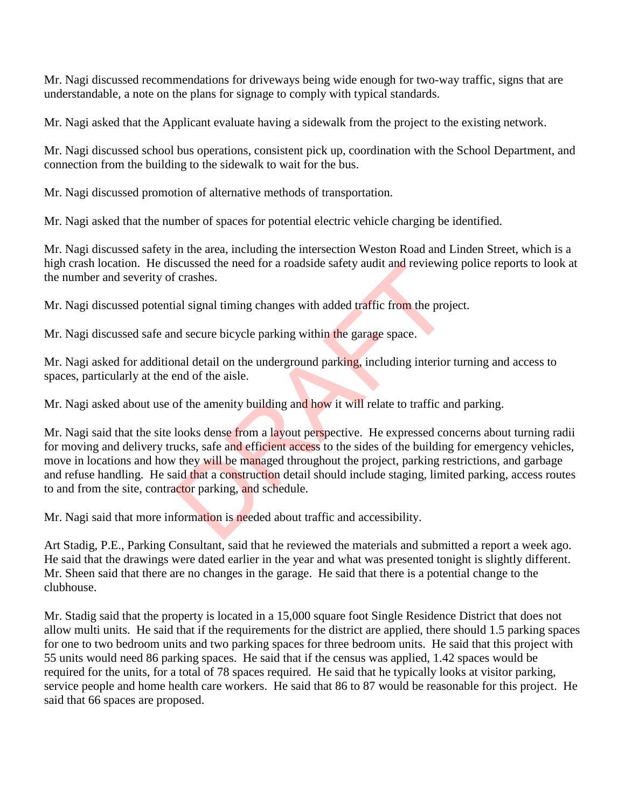Mr. Nagi discussed recommendations for driveways being wide enough for two-way traffic, signs that are understandable, a note on the plans for signage to comply with typical standards.

Mr. Nagi asked that the Applicant evaluate having a sidewalk from the project to the existing network.

Mr. Nagi discussed school bus operations, consistent pick up, coordination with the School Department, and connection from the building to the sidewalk to wait for the bus.

Mr. Nagi discussed promotion of alternative methods of transportation.

Mr. Nagi asked that the number of spaces for potential electric vehicle charging be identified.

Mr. Nagi discussed safety in the area, including the intersection Weston Road and Linden Street, which is a high crash location. He discussed the need for a roadside safety audit and reviewing police reports to look at the number and severity of crashes.

Mr. Nagi discussed potential signal timing changes with added traffic from the project.

Mr. Nagi discussed safe and secure bicycle parking within the garage space.

Mr. Nagi asked for additional detail on the underground parking, including interior turning and access to spaces, particularly at the end of the aisle.

Mr. Nagi asked about use of the amenity building and how it will relate to traffic and parking.

Mr. Nagi said that the site looks dense from a layout perspective. He expressed concerns about turning radii for moving and delivery trucks, safe and efficient access to the sides of the building for emergency vehicles, move in locations and how they will be managed throughout the project, parking restrictions, and garbage and refuse handling. He said that a construction detail should include staging, limited parking, access routes to and from the site, contractor parking, and schedule. scussed the need for a roadstide safety audit and reviewint crashes.<br>
Extrashes.<br>
Extrashes.<br>
Extra the projection of the anisometric properties of the anisotropy of the anise.<br>
The amentity building and how it will relate

Mr. Nagi said that more information is needed about traffic and accessibility.

Art Stadig, P.E., Parking Consultant, said that he reviewed the materials and submitted a report a week ago. He said that the drawings were dated earlier in the year and what was presented tonight is slightly different. Mr. Sheen said that there are no changes in the garage. He said that there is a potential change to the clubhouse.

Mr. Stadig said that the property is located in a 15,000 square foot Single Residence District that does not allow multi units. He said that if the requirements for the district are applied, there should 1.5 parking spaces for one to two bedroom units and two parking spaces for three bedroom units. He said that this project with 55 units would need 86 parking spaces. He said that if the census was applied, 1.42 spaces would be required for the units, for a total of 78 spaces required. He said that he typically looks at visitor parking, service people and home health care workers. He said that 86 to 87 would be reasonable for this project. He said that 66 spaces are proposed.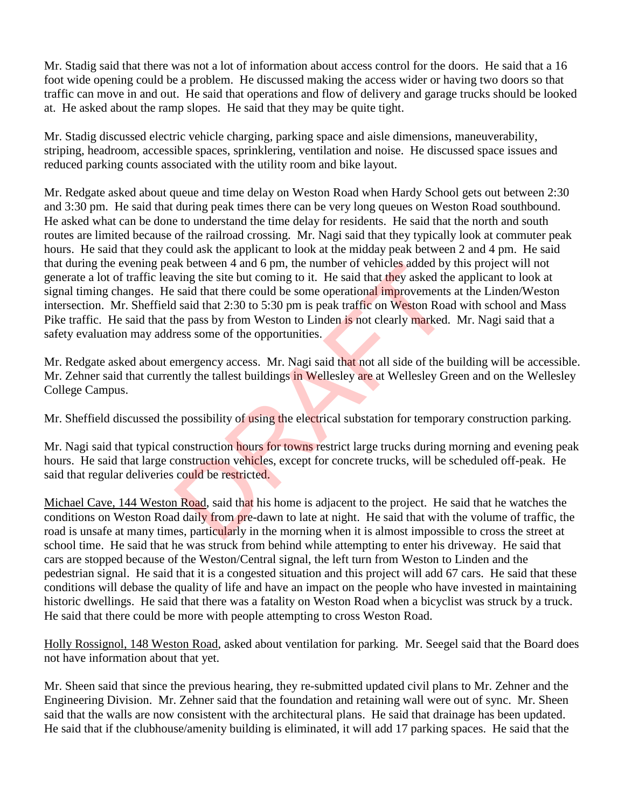Mr. Stadig said that there was not a lot of information about access control for the doors. He said that a 16 foot wide opening could be a problem. He discussed making the access wider or having two doors so that traffic can move in and out. He said that operations and flow of delivery and garage trucks should be looked at. He asked about the ramp slopes. He said that they may be quite tight.

Mr. Stadig discussed electric vehicle charging, parking space and aisle dimensions, maneuverability, striping, headroom, accessible spaces, sprinklering, ventilation and noise. He discussed space issues and reduced parking counts associated with the utility room and bike layout.

Mr. Redgate asked about queue and time delay on Weston Road when Hardy School gets out between 2:30 and 3:30 pm. He said that during peak times there can be very long queues on Weston Road southbound. He asked what can be done to understand the time delay for residents. He said that the north and south routes are limited because of the railroad crossing. Mr. Nagi said that they typically look at commuter peak hours. He said that they could ask the applicant to look at the midday peak between 2 and 4 pm. He said that during the evening peak between 4 and 6 pm, the number of vehicles added by this project will not generate a lot of traffic leaving the site but coming to it. He said that they asked the applicant to look at signal timing changes. He said that there could be some operational improvements at the Linden/Weston intersection. Mr. Sheffield said that 2:30 to 5:30 pm is peak traffic on Weston Road with school and Mass Pike traffic. He said that the pass by from Weston to Linden is not clearly marked. Mr. Nagi said that a safety evaluation may address some of the opportunities. as between 4 and 6 pm, the number of venicles added by<br>ving the site but coming to it. He said that they asked the<br>said that there could be some operational improvements<br>l said that 2:30 to 5:30 pm is peak traffic on Westo

Mr. Redgate asked about emergency access. Mr. Nagi said that not all side of the building will be accessible. Mr. Zehner said that currently the tallest buildings in Wellesley are at Wellesley Green and on the Wellesley College Campus.

Mr. Sheffield discussed the possibility of using the electrical substation for temporary construction parking.

Mr. Nagi said that typical construction hours for towns restrict large trucks during morning and evening peak hours. He said that large construction vehicles, except for concrete trucks, will be scheduled off-peak. He said that regular deliveries could be restricted.

Michael Cave, 144 Weston Road, said that his home is adjacent to the project. He said that he watches the conditions on Weston Road daily from pre-dawn to late at night. He said that with the volume of traffic, the road is unsafe at many times, particularly in the morning when it is almost impossible to cross the street at school time. He said that he was struck from behind while attempting to enter his driveway. He said that cars are stopped because of the Weston/Central signal, the left turn from Weston to Linden and the pedestrian signal. He said that it is a congested situation and this project will add 67 cars. He said that these conditions will debase the quality of life and have an impact on the people who have invested in maintaining historic dwellings. He said that there was a fatality on Weston Road when a bicyclist was struck by a truck. He said that there could be more with people attempting to cross Weston Road.

Holly Rossignol, 148 Weston Road, asked about ventilation for parking. Mr. Seegel said that the Board does not have information about that yet.

Mr. Sheen said that since the previous hearing, they re-submitted updated civil plans to Mr. Zehner and the Engineering Division. Mr. Zehner said that the foundation and retaining wall were out of sync. Mr. Sheen said that the walls are now consistent with the architectural plans. He said that drainage has been updated. He said that if the clubhouse/amenity building is eliminated, it will add 17 parking spaces. He said that the